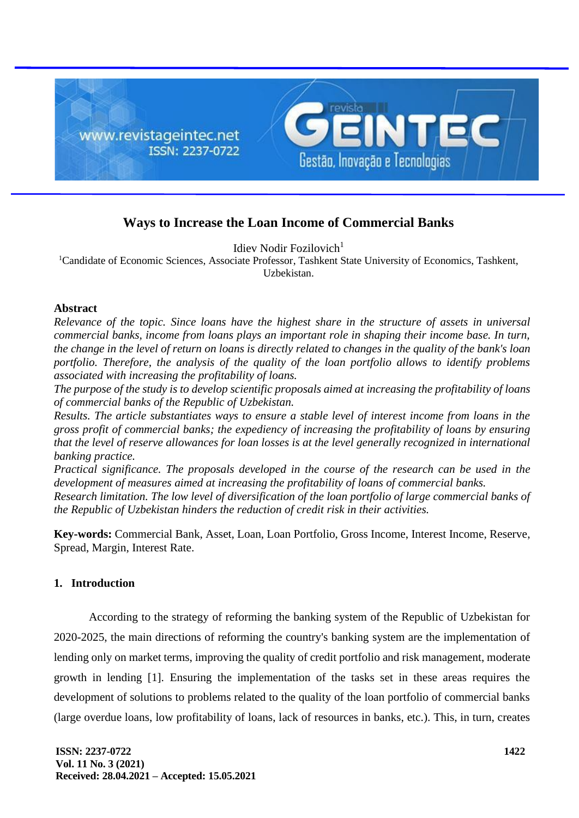

# **Ways to Increase the Loan Income of Commercial Banks**

Idiev Nodir Fozilovich $<sup>1</sup>$ </sup>

<sup>1</sup>Candidate of Economic Sciences, Associate Professor, Tashkent State University of Economics, Tashkent, Uzbekistan.

### **Abstract**

*Relevance of the topic. Since loans have the highest share in the structure of assets in universal commercial banks, income from loans plays an important role in shaping their income base. In turn, the change in the level of return on loans is directly related to changes in the quality of the bank's loan portfolio. Therefore, the analysis of the quality of the loan portfolio allows to identify problems associated with increasing the profitability of loans.*

*The purpose of the study is to develop scientific proposals aimed at increasing the profitability of loans of commercial banks of the Republic of Uzbekistan.*

*Results. The article substantiates ways to ensure a stable level of interest income from loans in the gross profit of commercial banks; the expediency of increasing the profitability of loans by ensuring that the level of reserve allowances for loan losses is at the level generally recognized in international banking practice.*

*Practical significance. The proposals developed in the course of the research can be used in the development of measures aimed at increasing the profitability of loans of commercial banks.*

*Research limitation. The low level of diversification of the loan portfolio of large commercial banks of the Republic of Uzbekistan hinders the reduction of credit risk in their activities.*

**Key-words:** Commercial Bank, Asset, Loan, Loan Portfolio, Gross Income, Interest Income, Reserve, Spread, Margin, Interest Rate.

### **1. Introduction**

According to the strategy of reforming the banking system of the Republic of Uzbekistan for 2020-2025, the main directions of reforming the country's banking system are the implementation of lending only on market terms, improving the quality of credit portfolio and risk management, moderate growth in lending [1]. Ensuring the implementation of the tasks set in these areas requires the development of solutions to problems related to the quality of the loan portfolio of commercial banks (large overdue loans, low profitability of loans, lack of resources in banks, etc.). This, in turn, creates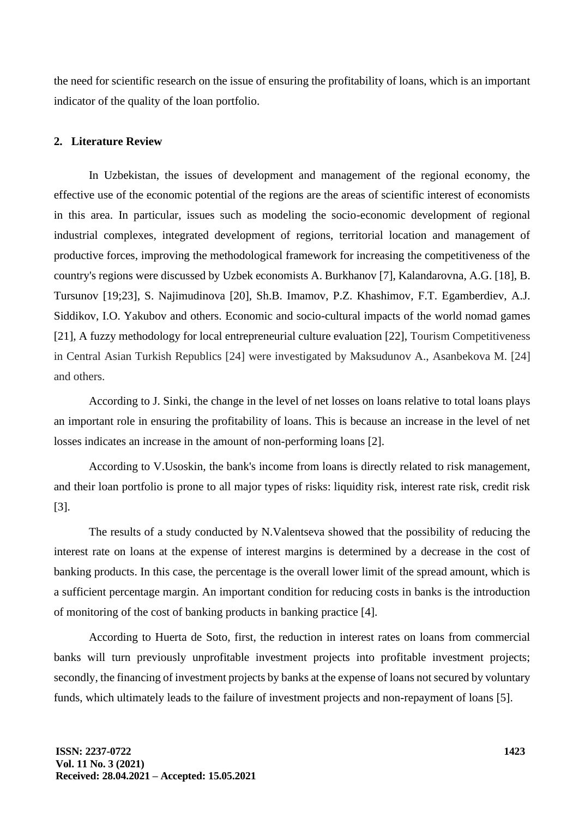the need for scientific research on the issue of ensuring the profitability of loans, which is an important indicator of the quality of the loan portfolio.

## **2. Literature Review**

In Uzbekistan, the issues of development and management of the regional economy, the effective use of the economic potential of the regions are the areas of scientific interest of economists in this area. In particular, issues such as modeling the socio-economic development of regional industrial complexes, integrated development of regions, territorial location and management of productive forces, improving the methodological framework for increasing the competitiveness of the country's regions were discussed by Uzbek economists A. Burkhanov [7], Kalandarovna, A.G. [18], B. Tursunov [19;23], S. Najimudinova [20], Sh.B. Imamov, P.Z. Khashimov, F.T. Egamberdiev, A.J. Siddikov, I.O. Yakubov and others. Economic and socio-cultural impacts of the world nomad games [21], A fuzzy methodology for local entrepreneurial culture evaluation [22], Tourism Competitiveness in Central Asian Turkish Republics [24] were investigated by Maksudunov A., Asanbekova M. [24] and others.

According to J. Sinki, the change in the level of net losses on loans relative to total loans plays an important role in ensuring the profitability of loans. This is because an increase in the level of net losses indicates an increase in the amount of non-performing loans [2].

According to V.Usoskin, the bank's income from loans is directly related to risk management, and their loan portfolio is prone to all major types of risks: liquidity risk, interest rate risk, credit risk [3].

The results of a study conducted by N.Valentseva showed that the possibility of reducing the interest rate on loans at the expense of interest margins is determined by a decrease in the cost of banking products. In this case, the percentage is the overall lower limit of the spread amount, which is a sufficient percentage margin. An important condition for reducing costs in banks is the introduction of monitoring of the cost of banking products in banking practice [4].

According to Huerta de Soto, first, the reduction in interest rates on loans from commercial banks will turn previously unprofitable investment projects into profitable investment projects; secondly, the financing of investment projects by banks at the expense of loans not secured by voluntary funds, which ultimately leads to the failure of investment projects and non-repayment of loans [5].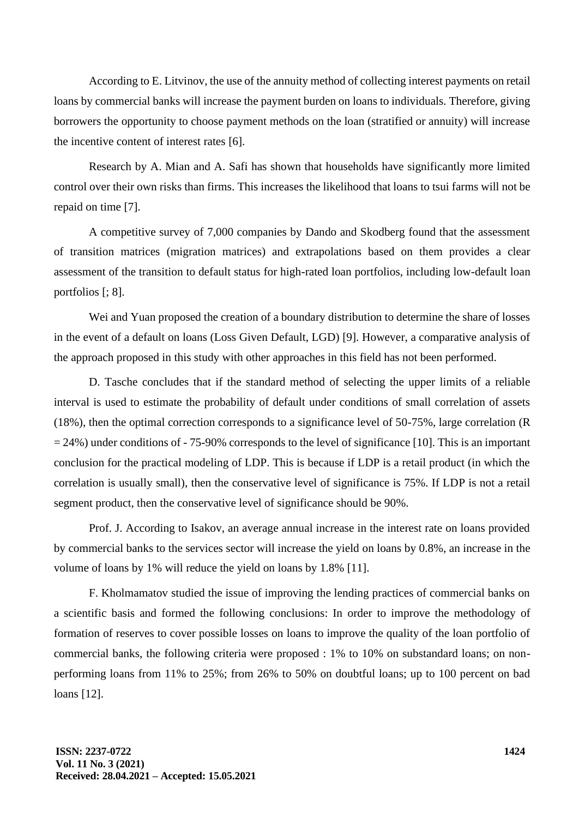According to E. Litvinov, the use of the annuity method of collecting interest payments on retail loans by commercial banks will increase the payment burden on loans to individuals. Therefore, giving borrowers the opportunity to choose payment methods on the loan (stratified or annuity) will increase the incentive content of interest rates [6].

Research by A. Mian and A. Safi has shown that households have significantly more limited control over their own risks than firms. This increases the likelihood that loans to tsui farms will not be repaid on time [7].

A competitive survey of 7,000 companies by Dando and Skodberg found that the assessment of transition matrices (migration matrices) and extrapolations based on them provides a clear assessment of the transition to default status for high-rated loan portfolios, including low-default loan portfolios [; 8].

Wei and Yuan proposed the creation of a boundary distribution to determine the share of losses in the event of a default on loans (Loss Given Default, LGD) [9]. However, a comparative analysis of the approach proposed in this study with other approaches in this field has not been performed.

D. Tasche concludes that if the standard method of selecting the upper limits of a reliable interval is used to estimate the probability of default under conditions of small correlation of assets (18%), then the optimal correction corresponds to a significance level of 50-75%, large correlation (R = 24%) under conditions of - 75-90% corresponds to the level of significance [10]. This is an important conclusion for the practical modeling of LDP. This is because if LDP is a retail product (in which the correlation is usually small), then the conservative level of significance is 75%. If LDP is not a retail segment product, then the conservative level of significance should be 90%.

Prof. J. According to Isakov, an average annual increase in the interest rate on loans provided by commercial banks to the services sector will increase the yield on loans by 0.8%, an increase in the volume of loans by 1% will reduce the yield on loans by 1.8% [11].

F. Kholmamatov studied the issue of improving the lending practices of commercial banks on a scientific basis and formed the following conclusions: In order to improve the methodology of formation of reserves to cover possible losses on loans to improve the quality of the loan portfolio of commercial banks, the following criteria were proposed : 1% to 10% on substandard loans; on nonperforming loans from 11% to 25%; from 26% to 50% on doubtful loans; up to 100 percent on bad loans [12].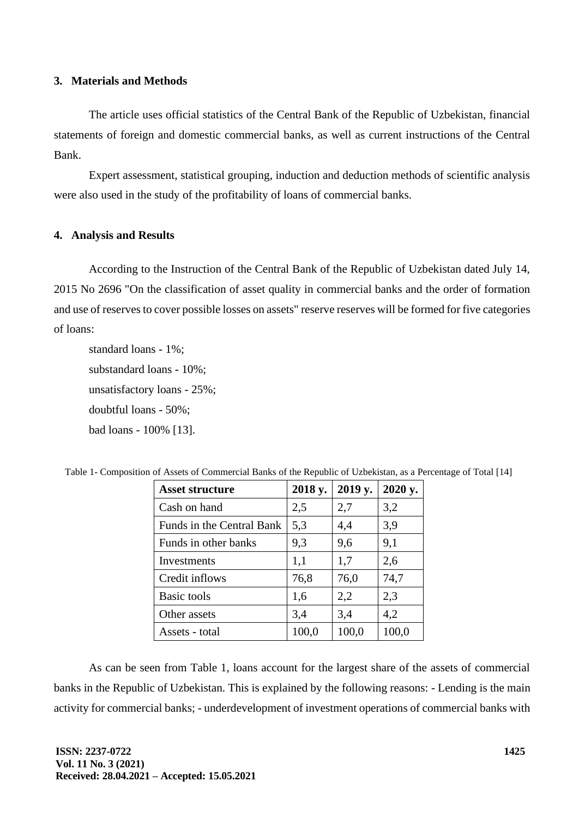### **3. Materials and Methods**

The article uses official statistics of the Central Bank of the Republic of Uzbekistan, financial statements of foreign and domestic commercial banks, as well as current instructions of the Central Bank.

Expert assessment, statistical grouping, induction and deduction methods of scientific analysis were also used in the study of the profitability of loans of commercial banks.

### **4. Analysis and Results**

According to the Instruction of the Central Bank of the Republic of Uzbekistan dated July 14, 2015 No 2696 "On the classification of asset quality in commercial banks and the order of formation and use of reserves to cover possible losses on assets" reserve reserves will be formed for five categories of loans:

standard loans - 1%; substandard loans - 10%; unsatisfactory loans - 25%; doubtful loans - 50%; bad loans - 100% [13].

| <b>Asset structure</b>    | 2018 y. | 2019 y. | 2020 y. |
|---------------------------|---------|---------|---------|
| Cash on hand              | 2,5     | 2,7     | 3,2     |
| Funds in the Central Bank | 5,3     | 4,4     | 3,9     |
| Funds in other banks      | 9,3     | 9,6     | 9,1     |
| Investments               | 1,1     | 1,7     | 2,6     |
| Credit inflows            | 76,8    | 76,0    | 74,7    |
| <b>Basic tools</b>        | 1,6     | 2,2     | 2,3     |
| Other assets              | 3,4     | 3,4     | 4,2     |
| Assets - total            | 100,0   | 100,0   | 100,0   |

Table 1- Composition of Assets of Commercial Banks of the Republic of Uzbekistan, as a Percentage of Total [14]

As can be seen from Table 1, loans account for the largest share of the assets of commercial banks in the Republic of Uzbekistan. This is explained by the following reasons: - Lending is the main activity for commercial banks; - underdevelopment of investment operations of commercial banks with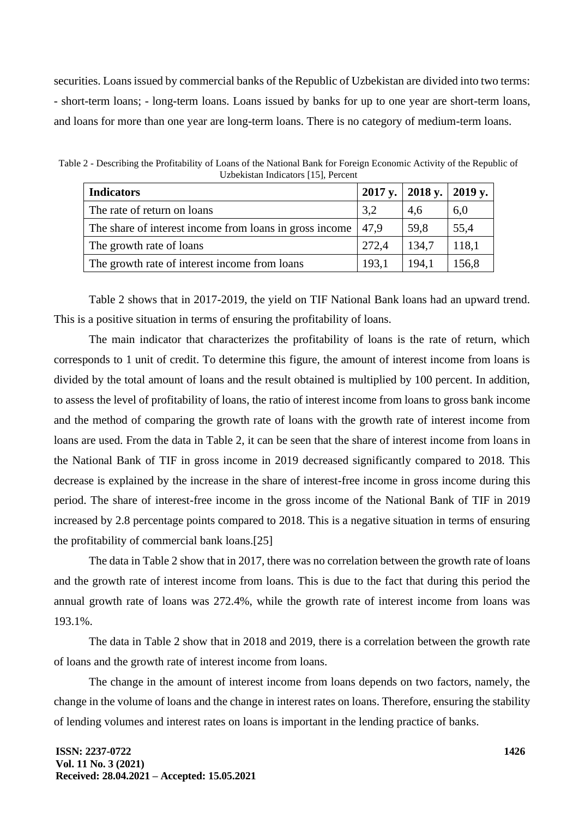securities. Loans issued by commercial banks of the Republic of Uzbekistan are divided into two terms: - short-term loans; - long-term loans. Loans issued by banks for up to one year are short-term loans, and loans for more than one year are long-term loans. There is no category of medium-term loans.

| <b>Indicators</b>                                       |       | 2017 y.   2018 y.   2019 y. |       |
|---------------------------------------------------------|-------|-----------------------------|-------|
| The rate of return on loans                             | 3,2   | 4,6                         | 6,0   |
| The share of interest income from loans in gross income | 47.9  | 59.8                        | 55,4  |
| The growth rate of loans                                | 272,4 | 134,7                       | 118,1 |
| The growth rate of interest income from loans           | 193,1 | 194,1                       | 156,8 |

Table 2 - Describing the Profitability of Loans of the National Bank for Foreign Economic Activity of the Republic of Uzbekistan Indicators [15], Percent

Table 2 shows that in 2017-2019, the yield on TIF National Bank loans had an upward trend. This is a positive situation in terms of ensuring the profitability of loans.

The main indicator that characterizes the profitability of loans is the rate of return, which corresponds to 1 unit of credit. To determine this figure, the amount of interest income from loans is divided by the total amount of loans and the result obtained is multiplied by 100 percent. In addition, to assess the level of profitability of loans, the ratio of interest income from loans to gross bank income and the method of comparing the growth rate of loans with the growth rate of interest income from loans are used. From the data in Table 2, it can be seen that the share of interest income from loans in the National Bank of TIF in gross income in 2019 decreased significantly compared to 2018. This decrease is explained by the increase in the share of interest-free income in gross income during this period. The share of interest-free income in the gross income of the National Bank of TIF in 2019 increased by 2.8 percentage points compared to 2018. This is a negative situation in terms of ensuring the profitability of commercial bank loans.[25]

The data in Table 2 show that in 2017, there was no correlation between the growth rate of loans and the growth rate of interest income from loans. This is due to the fact that during this period the annual growth rate of loans was 272.4%, while the growth rate of interest income from loans was 193.1%.

The data in Table 2 show that in 2018 and 2019, there is a correlation between the growth rate of loans and the growth rate of interest income from loans.

The change in the amount of interest income from loans depends on two factors, namely, the change in the volume of loans and the change in interest rates on loans. Therefore, ensuring the stability of lending volumes and interest rates on loans is important in the lending practice of banks.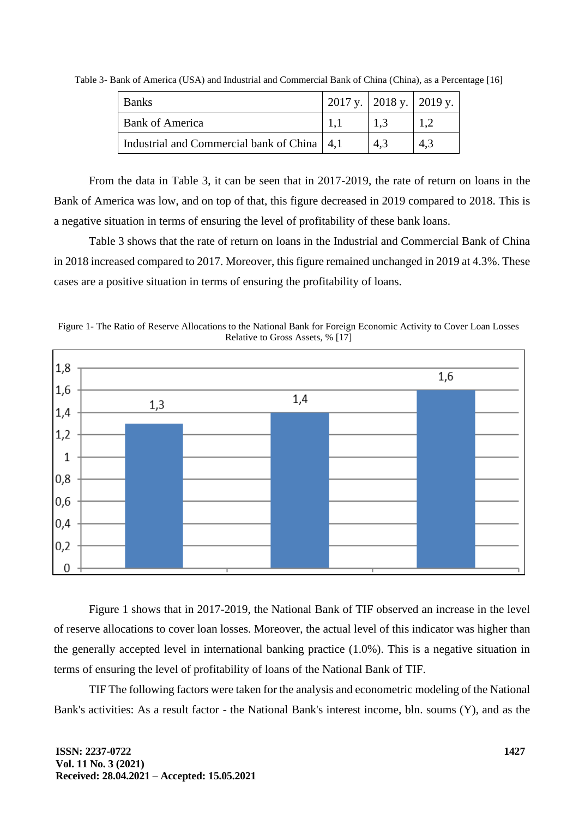| <b>Banks</b>                                  | 2017 y.   2018 y.   2019 y. |     |     |
|-----------------------------------------------|-----------------------------|-----|-----|
| Bank of America                               |                             | 1.3 |     |
| Industrial and Commercial bank of China   4,1 |                             | 4.3 | 4.3 |

Table 3- Bank of America (USA) and Industrial and Commercial Bank of China (China), as a Percentage [16]

From the data in Table 3, it can be seen that in 2017-2019, the rate of return on loans in the Bank of America was low, and on top of that, this figure decreased in 2019 compared to 2018. This is a negative situation in terms of ensuring the level of profitability of these bank loans.

Table 3 shows that the rate of return on loans in the Industrial and Commercial Bank of China in 2018 increased compared to 2017. Moreover, this figure remained unchanged in 2019 at 4.3%. These cases are a positive situation in terms of ensuring the profitability of loans.





Figure 1 shows that in 2017-2019, the National Bank of TIF observed an increase in the level of reserve allocations to cover loan losses. Moreover, the actual level of this indicator was higher than the generally accepted level in international banking practice (1.0%). This is a negative situation in terms of ensuring the level of profitability of loans of the National Bank of TIF.

TIF The following factors were taken for the analysis and econometric modeling of the National Bank's activities: As a result factor - the National Bank's interest income, bln. soums (Y), and as the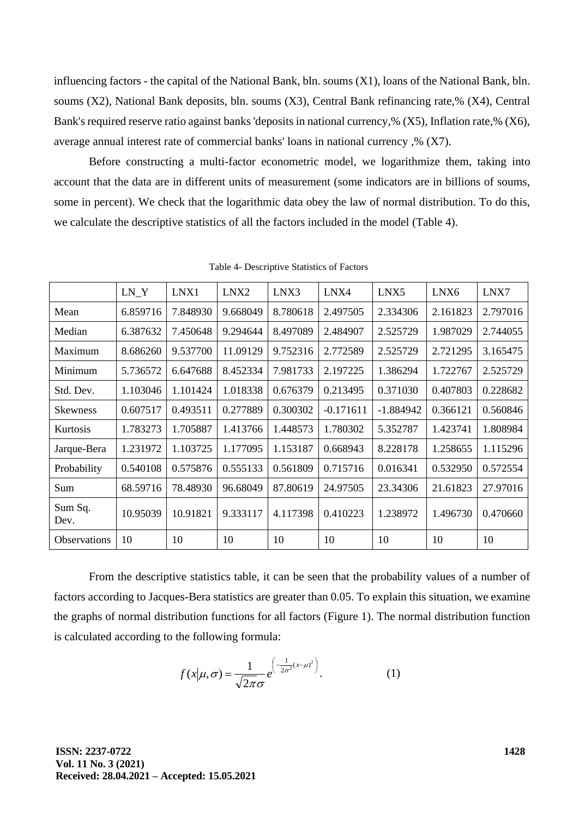influencing factors - the capital of the National Bank, bln. soums (X1), loans of the National Bank, bln. soums (X2), National Bank deposits, bln. soums (X3), Central Bank refinancing rate,% (X4), Central Bank's required reserve ratio against banks 'deposits in national currency,% (X5), Inflation rate,% (X6), average annual interest rate of commercial banks' loans in national currency ,% (X7).

Before constructing a multi-factor econometric model, we logarithmize them, taking into account that the data are in different units of measurement (some indicators are in billions of soums, some in percent). We check that the logarithmic data obey the law of normal distribution. To do this, we calculate the descriptive statistics of all the factors included in the model (Table 4).

|                     | LN Y     | LNX1     | LNX2     | LNX3     | LNX4        | LNX5        | LNX6     | LNX7     |
|---------------------|----------|----------|----------|----------|-------------|-------------|----------|----------|
| Mean                | 6.859716 | 7.848930 | 9.668049 | 8.780618 | 2.497505    | 2.334306    | 2.161823 | 2.797016 |
| Median              | 6.387632 | 7.450648 | 9.294644 | 8.497089 | 2.484907    | 2.525729    | 1.987029 | 2.744055 |
| Maximum             | 8.686260 | 9.537700 | 11.09129 | 9.752316 | 2.772589    | 2.525729    | 2.721295 | 3.165475 |
| Minimum             | 5.736572 | 6.647688 | 8.452334 | 7.981733 | 2.197225    | 1.386294    | 1.722767 | 2.525729 |
| Std. Dev.           | 1.103046 | 1.101424 | 1.018338 | 0.676379 | 0.213495    | 0.371030    | 0.407803 | 0.228682 |
| <b>Skewness</b>     | 0.607517 | 0.493511 | 0.277889 | 0.300302 | $-0.171611$ | $-1.884942$ | 0.366121 | 0.560846 |
| Kurtosis            | 1.783273 | 1.705887 | 1.413766 | 1.448573 | 1.780302    | 5.352787    | 1.423741 | 1.808984 |
| Jarque-Bera         | 1.231972 | 1.103725 | 1.177095 | 1.153187 | 0.668943    | 8.228178    | 1.258655 | 1.115296 |
| Probability         | 0.540108 | 0.575876 | 0.555133 | 0.561809 | 0.715716    | 0.016341    | 0.532950 | 0.572554 |
| Sum                 | 68.59716 | 78.48930 | 96.68049 | 87.80619 | 24.97505    | 23.34306    | 21.61823 | 27.97016 |
| Sum Sq.<br>Dev.     | 10.95039 | 10.91821 | 9.333117 | 4.117398 | 0.410223    | 1.238972    | 1.496730 | 0.470660 |
| <b>Observations</b> | 10       | 10       | 10       | 10       | 10          | 10          | 10       | 10       |

Table 4- Descriptive Statistics of Factors

From the descriptive statistics table, it can be seen that the probability values of a number of factors according to Jacques-Bera statistics are greater than 0.05. To explain this situation, we examine the graphs of normal distribution functions for all factors (Figure 1). The normal distribution function is calculated according to the following formula:

$$
f(x|\mu,\sigma) = \frac{1}{\sqrt{2\pi}\sigma} e^{-\left(\frac{1}{2\sigma^2}(x-\mu)^2\right)}.
$$
 (1)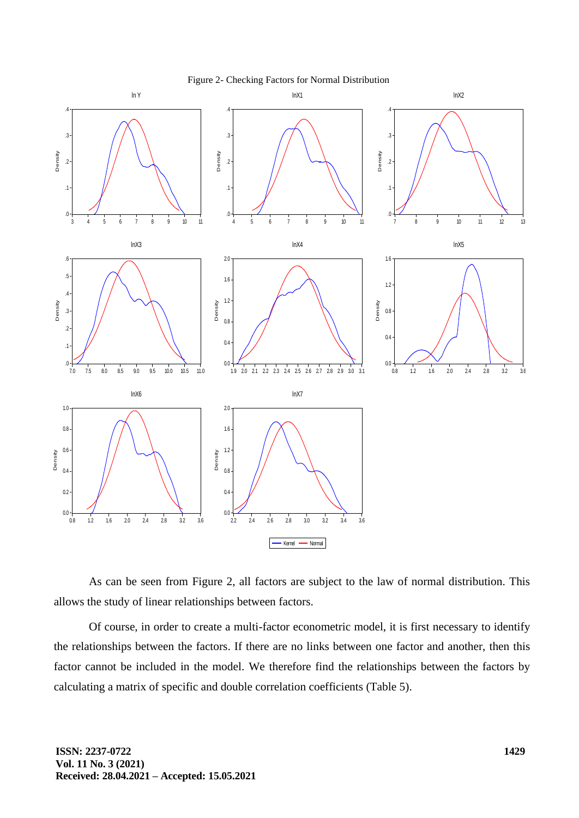

As can be seen from Figure 2, all factors are subject to the law of normal distribution. This allows the study of linear relationships between factors.

Of course, in order to create a multi-factor econometric model, it is first necessary to identify the relationships between the factors. If there are no links between one factor and another, then this factor cannot be included in the model. We therefore find the relationships between the factors by calculating a matrix of specific and double correlation coefficients (Table 5).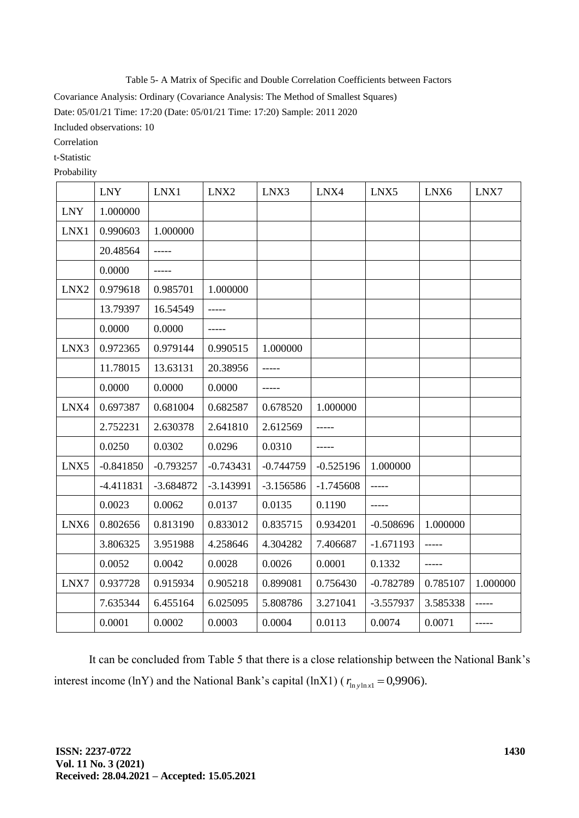Table 5- A Matrix of Specific and Double Correlation Coefficients between Factors

Covariance Analysis: Ordinary (Covariance Analysis: The Method of Smallest Squares)

Date: 05/01/21 Time: 17:20 (Date: 05/01/21 Time: 17:20) Sample: 2011 2020

Included observations: 10

Correlation

t-Statistic

Probability

|            | <b>LNY</b>  | LNX1        | LNX2        | LNX3        | LNX4        | LNX5        | LNX6     | LNX7     |
|------------|-------------|-------------|-------------|-------------|-------------|-------------|----------|----------|
| <b>LNY</b> | 1.000000    |             |             |             |             |             |          |          |
| LNX1       | 0.990603    | 1.000000    |             |             |             |             |          |          |
|            | 20.48564    |             |             |             |             |             |          |          |
|            | 0.0000      |             |             |             |             |             |          |          |
| LNX2       | 0.979618    | 0.985701    | 1.000000    |             |             |             |          |          |
|            | 13.79397    | 16.54549    | -----       |             |             |             |          |          |
|            | 0.0000      | 0.0000      | -----       |             |             |             |          |          |
| LNX3       | 0.972365    | 0.979144    | 0.990515    | 1.000000    |             |             |          |          |
|            | 11.78015    | 13.63131    | 20.38956    |             |             |             |          |          |
|            | 0.0000      | 0.0000      | 0.0000      | -----       |             |             |          |          |
| LNX4       | 0.697387    | 0.681004    | 0.682587    | 0.678520    | 1.000000    |             |          |          |
|            | 2.752231    | 2.630378    | 2.641810    | 2.612569    |             |             |          |          |
|            | 0.0250      | 0.0302      | 0.0296      | 0.0310      |             |             |          |          |
| LNX5       | $-0.841850$ | $-0.793257$ | $-0.743431$ | $-0.744759$ | $-0.525196$ | 1.000000    |          |          |
|            | $-4.411831$ | $-3.684872$ | $-3.143991$ | $-3.156586$ | $-1.745608$ |             |          |          |
|            | 0.0023      | 0.0062      | 0.0137      | 0.0135      | 0.1190      |             |          |          |
| LNX6       | 0.802656    | 0.813190    | 0.833012    | 0.835715    | 0.934201    | $-0.508696$ | 1.000000 |          |
|            | 3.806325    | 3.951988    | 4.258646    | 4.304282    | 7.406687    | $-1.671193$ | -----    |          |
|            | 0.0052      | 0.0042      | 0.0028      | 0.0026      | 0.0001      | 0.1332      |          |          |
| LNX7       | 0.937728    | 0.915934    | 0.905218    | 0.899081    | 0.756430    | $-0.782789$ | 0.785107 | 1.000000 |
|            | 7.635344    | 6.455164    | 6.025095    | 5.808786    | 3.271041    | $-3.557937$ | 3.585338 | -----    |
|            | 0.0001      | 0.0002      | 0.0003      | 0.0004      | 0.0113      | 0.0074      | 0.0071   |          |

It can be concluded from Table 5 that there is a close relationship between the National Bank's interest income (lnY) and the National Bank's capital (lnX1) ( $r_{\text{ln}y \text{ln}x1} = 0.9906$ ).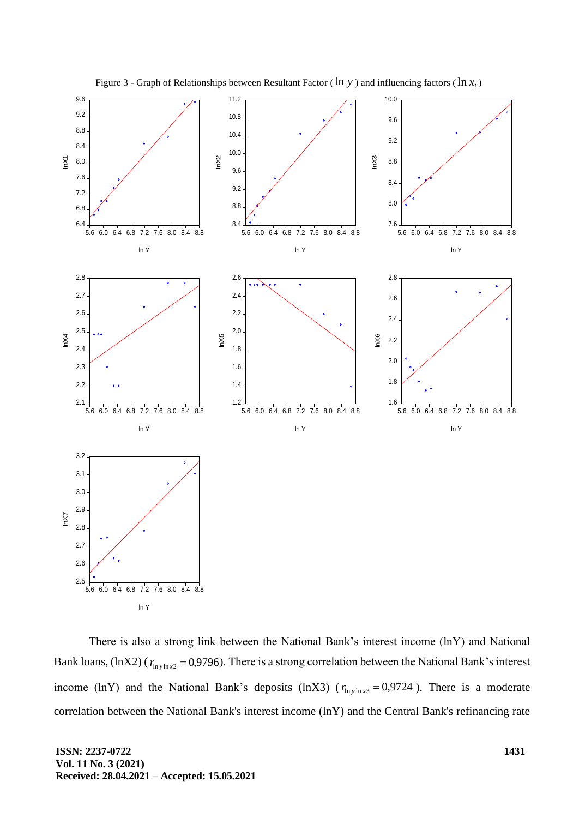

Figure 3 - Graph of Relationships between Resultant Factor ( $\ln y$ ) and influencing factors ( $\ln x_i$ )

There is also a strong link between the National Bank's interest income (lnY) and National Bank loans,  $(lnX2)$  ( $r_{lnylnx2} = 0.9796$ ). There is a strong correlation between the National Bank's interest income (lnY) and the National Bank's deposits (lnX3) ( $r_{\text{ln plus }x3} = 0.9724$ ). There is a moderate correlation between the National Bank's interest income (lnY) and the Central Bank's refinancing rate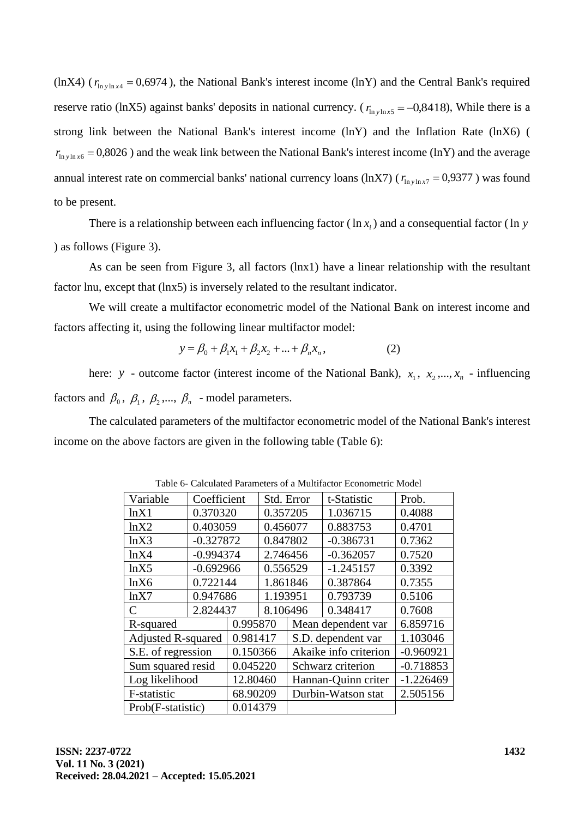(lnX4) ( $r_{\text{in yln}x4}$  = 0,6974), the National Bank's interest income (lnY) and the Central Bank's required reserve ratio (lnX5) against banks' deposits in national currency. ( $r_{\text{ln}y \text{ln}x5} = -0.8418$ ), While there is a strong link between the National Bank's interest income (lnY) and the Inflation Rate (lnX6) (  $r_{\ln y \ln x6} = 0,8026$ ) and the weak link between the National Bank's interest income (lnY) and the average annual interest rate on commercial banks' national currency loans (lnX7) ( $r_{\text{ln}y \text{ln}x7} = 0.9377$ ) was found to be present.

There is a relationship between each influencing factor  $(\ln x_i)$  and a consequential factor  $(\ln y_i)$ ) as follows (Figure 3).

As can be seen from Figure 3, all factors (lnx1) have a linear relationship with the resultant factor lnu, except that (lnx5) is inversely related to the resultant indicator.

We will create a multifactor econometric model of the National Bank on interest income and factors affecting it, using the following linear multifactor model:

$$
y = \beta_0 + \beta_1 x_1 + \beta_2 x_2 + \dots + \beta_n x_n, \tag{2}
$$

here: *y* - outcome factor (interest income of the National Bank),  $x_1, x_2, ..., x_n$  - influencing factors and  $\beta_0$ ,  $\beta_1$ ,  $\beta_2$ ,...,  $\beta_n$  - model parameters.

The calculated parameters of the multifactor econometric model of the National Bank's interest income on the above factors are given in the following table (Table 6):

| Variable                  | Coefficient |             |          | Std. Error         | t-Statistic           | Prob.       |
|---------------------------|-------------|-------------|----------|--------------------|-----------------------|-------------|
| lnX1                      | 0.370320    |             | 0.357205 |                    | 1.036715              | 0.4088      |
| lnX2                      | 0.403059    |             | 0.456077 |                    | 0.883753              | 0.4701      |
| lnX3                      | $-0.327872$ |             | 0.847802 |                    | $-0.386731$           | 0.7362      |
| lnX4                      | $-0.994374$ |             | 2.746456 |                    | $-0.362057$           | 0.7520      |
| lnX5                      |             | $-0.692966$ |          | 0.556529           | $-1.245157$           | 0.3392      |
| lnX6                      | 0.722144    |             | 1.861846 |                    | 0.387864              | 0.7355      |
| lnX7                      |             | 0.947686    |          | 1.193951           | 0.793739              | 0.5106      |
| C                         | 2.824437    |             | 8.106496 |                    | 0.348417              | 0.7608      |
| R-squared                 |             | 0.995870    |          |                    | Mean dependent var    | 6.859716    |
| <b>Adjusted R-squared</b> |             | 0.981417    |          |                    | S.D. dependent var    | 1.103046    |
| S.E. of regression        | 0.150366    |             |          |                    | Akaike info criterion | $-0.960921$ |
| Sum squared resid         | 0.045220    |             |          |                    | Schwarz criterion     | $-0.718853$ |
| Log likelihood            |             | 12.80460    |          |                    | Hannan-Quinn criter   | $-1.226469$ |
| F-statistic<br>68.90209   |             |             |          | Durbin-Watson stat | 2.505156              |             |
| Prob(F-statistic)         |             | 0.014379    |          |                    |                       |             |

Table 6- Calculated Parameters of a Multifactor Econometric Model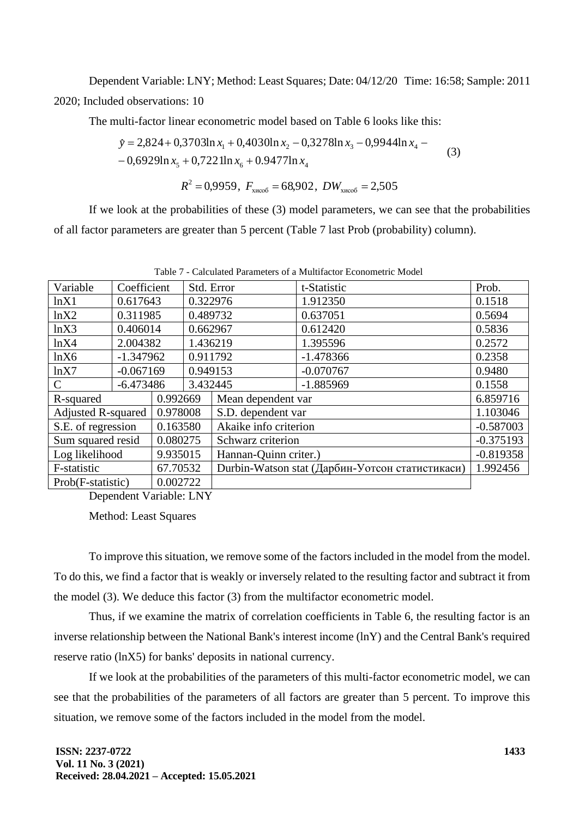Dependent Variable: LNY; Method: Least Squares; Date: 04/12/20 Time: 16:58; Sample: 2011 2020; Included observations: 10

The multi-factor linear econometric model based on Table 6 looks like this:

$$
\hat{y} = 2,824 + 0,3703\ln x_1 + 0,4030\ln x_2 - 0,3278\ln x_3 - 0,9944\ln x_4 - 0,6929\ln x_5 + 0,7221\ln x_6 + 0.9477\ln x_4
$$
\n(3)

$$
R^2 = 0.9959
$$
,  $F_{\text{xuco6}} = 68.902$ ,  $DW_{\text{xuco6}} = 2.505$ 

If we look at the probabilities of these (3) model parameters, we can see that the probabilities of all factor parameters are greater than 5 percent (Table 7 last Prob (probability) column).

| Variable                              | Coefficient |                       | Std. Error         |                       | t-Statistic                                     | Prob.       |
|---------------------------------------|-------------|-----------------------|--------------------|-----------------------|-------------------------------------------------|-------------|
| lnX1                                  | 0.617643    |                       | 0.322976           |                       | 1.912350                                        | 0.1518      |
| lnX2                                  | 0.311985    |                       | 0.489732           |                       | 0.637051                                        | 0.5694      |
| lnX3                                  | 0.406014    |                       | 0.662967           |                       | 0.612420                                        | 0.5836      |
| lnX4                                  | 2.004382    |                       | 1.436219           |                       | 1.395596                                        | 0.2572      |
| lnX6                                  | $-1.347962$ |                       | 0.911792           |                       | $-1.478366$                                     | 0.2358      |
| lnX7                                  | $-0.067169$ |                       | 0.949153           |                       | $-0.070767$                                     | 0.9480      |
| $\mathcal{C}$                         | $-6.473486$ |                       | 3.432445           |                       | $-1.885969$                                     | 0.1558      |
| R-squared                             | 0.992669    |                       | Mean dependent var |                       | 6.859716                                        |             |
| <b>Adjusted R-squared</b><br>0.978008 |             | S.D. dependent var    |                    | 1.103046              |                                                 |             |
| S.E. of regression<br>0.163580        |             | Akaike info criterion |                    | $-0.587003$           |                                                 |             |
| Sum squared resid                     |             | 0.080275              |                    | Schwarz criterion     |                                                 | $-0.375193$ |
| Log likelihood                        |             | 9.935015              |                    | Hannan-Quinn criter.) |                                                 | $-0.819358$ |
| F-statistic                           |             | 67.70532              |                    |                       | Durbin-Watson stat (Дарбин-Уотсон статистикаси) | 1.992456    |
| Prob(F-statistic)                     |             | 0.002722              |                    |                       |                                                 |             |

Table 7 - Calculated Parameters of a Multifactor Econometric Model

Dependent Variable: LNY

Method: Least Squares

To improve this situation, we remove some of the factors included in the model from the model. To do this, we find a factor that is weakly or inversely related to the resulting factor and subtract it from the model (3). We deduce this factor (3) from the multifactor econometric model.

Thus, if we examine the matrix of correlation coefficients in Table 6, the resulting factor is an inverse relationship between the National Bank's interest income (lnY) and the Central Bank's required reserve ratio (lnX5) for banks' deposits in national currency.

If we look at the probabilities of the parameters of this multi-factor econometric model, we can see that the probabilities of the parameters of all factors are greater than 5 percent. To improve this situation, we remove some of the factors included in the model from the model.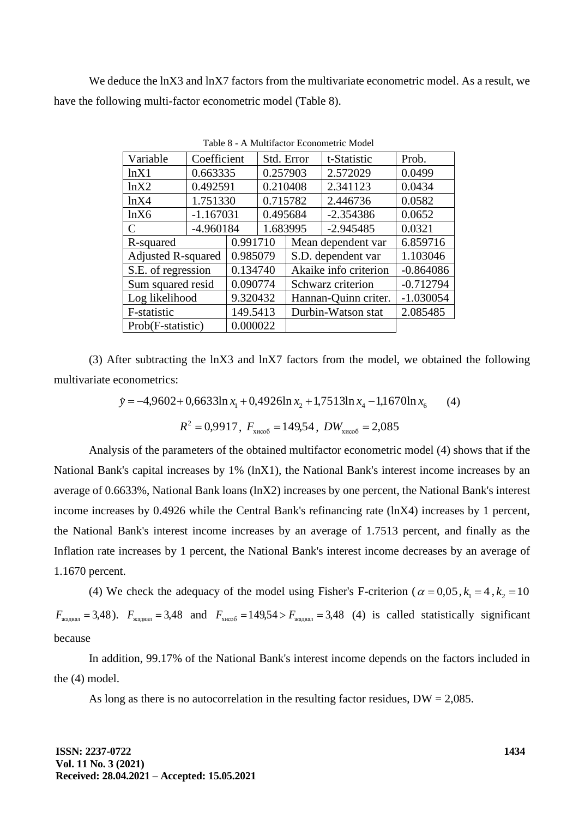We deduce the lnX3 and lnX7 factors from the multivariate econometric model. As a result, we have the following multi-factor econometric model (Table 8).

| Variable                  | Coefficient                    |          | Std. Error |                    | t-Statistic           | Prob.       |
|---------------------------|--------------------------------|----------|------------|--------------------|-----------------------|-------------|
| lnX1                      | 0.663335                       |          | 0.257903   |                    | 2.572029              | 0.0499      |
| lnX2                      | 0.492591                       |          | 0.210408   |                    | 2.341123              | 0.0434      |
| lnX4                      | 1.751330                       |          | 0.715782   |                    | 2.446736              | 0.0582      |
| lnX6                      | $-1.167031$                    |          | 0.495684   |                    | $-2.354386$           | 0.0652      |
| C                         | -4.960184                      |          | 1.683995   |                    | $-2.945485$           | 0.0321      |
| R-squared                 | 0.991710                       |          |            |                    | Mean dependent var    | 6.859716    |
| <b>Adjusted R-squared</b> | 0.985079                       |          |            | S.D. dependent var |                       | 1.103046    |
|                           | 0.134740<br>S.E. of regression |          |            |                    | Akaike info criterion | $-0.864086$ |
| Sum squared resid         | 0.090774                       |          |            |                    | Schwarz criterion     | $-0.712794$ |
| Log likelihood            | 9.320432                       |          |            |                    | Hannan-Quinn criter.  | $-1.030054$ |
| F-statistic               |                                | 149.5413 |            |                    | Durbin-Watson stat    | 2.085485    |
| Prob(F-statistic)         |                                | 0.000022 |            |                    |                       |             |

Table 8 - A Multifactor Econometric Model

(3) After subtracting the lnX3 and lnX7 factors from the model, we obtained the following multivariate econometrics:

$$
\hat{y} = -4,9602 + 0,6633 \ln x_1 + 0,4926 \ln x_2 + 1,7513 \ln x_4 - 1,1670 \ln x_6 \tag{4}
$$

$$
R^2 = 0.9917
$$
,  $F_{\text{XHCO6}} = 149.54$ ,  $DW_{\text{XHCO6}} = 2.085$ 

Analysis of the parameters of the obtained multifactor econometric model (4) shows that if the National Bank's capital increases by 1% (lnX1), the National Bank's interest income increases by an average of 0.6633%, National Bank loans (lnX2) increases by one percent, the National Bank's interest income increases by 0.4926 while the Central Bank's refinancing rate (lnX4) increases by 1 percent, the National Bank's interest income increases by an average of 1.7513 percent, and finally as the Inflation rate increases by 1 percent, the National Bank's interest income decreases by an average of 1.1670 percent.

(4) We check the adequacy of the model using Fisher's F-criterion ( $\alpha = 0.05$ ,  $k_1 = 4$ ,  $k_2 = 10$  $F_{\text{XA}$ двал = 3,48).  $F_{\text{XA}$ двал = 3,48 and  $F_{\text{XHCO6}} = 149,54 > F_{\text{XA}$ двал = 3,48 (4) is called statistically significant because

In addition, 99.17% of the National Bank's interest income depends on the factors included in the (4) model.

As long as there is no autocorrelation in the resulting factor residues,  $DW = 2,085$ .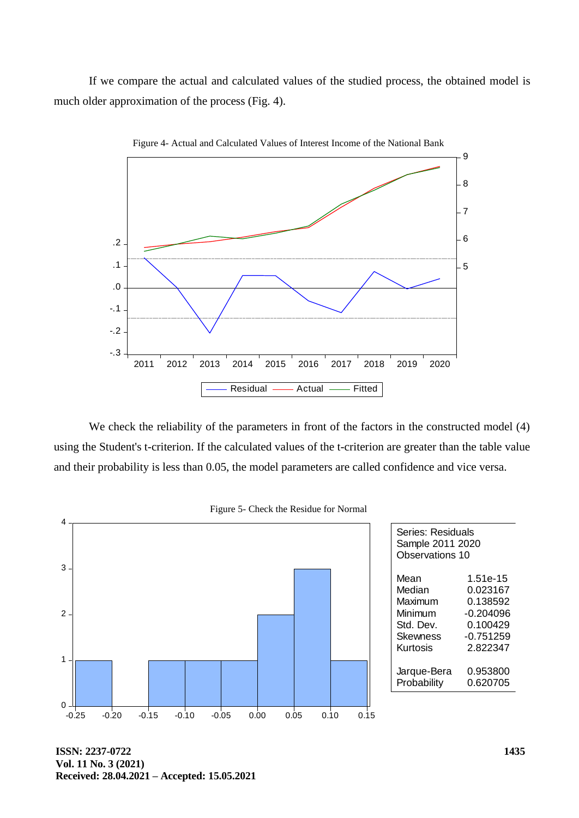If we compare the actual and calculated values of the studied process, the obtained model is much older approximation of the process (Fig. 4).



Figure 4- Actual and Calculated Values of Interest Income of the National Bank

We check the reliability of the parameters in front of the factors in the constructed model (4) using the Student's t-criterion. If the calculated values of the t-criterion are greater than the table value and their probability is less than 0.05, the model parameters are called confidence and vice versa.



Figure 5- Check the Residue for Normal

**ISSN: 2237-0722 Vol. 11 No. 3 (2021) Received: 28.04.2021 – Accepted: 15.05.2021**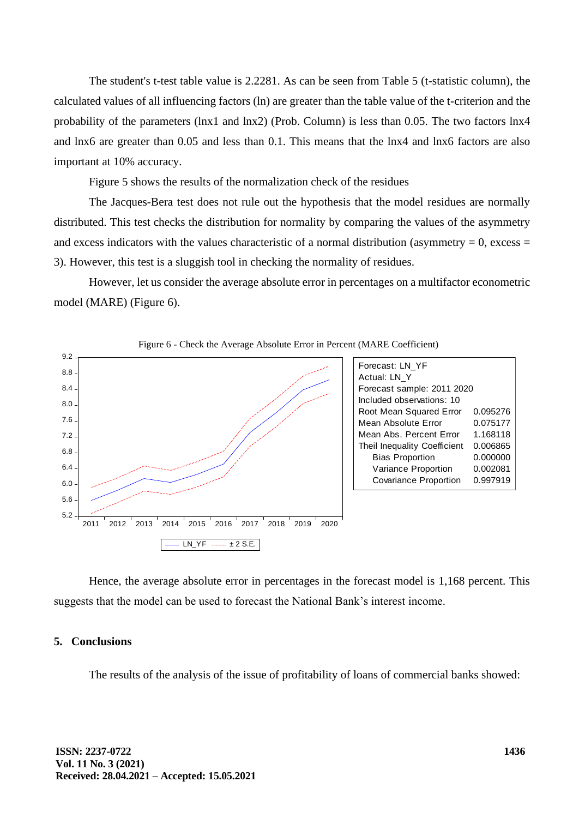The student's t-test table value is 2.2281. As can be seen from Table 5 (t-statistic column), the calculated values of all influencing factors (ln) are greater than the table value of the t-criterion and the probability of the parameters (lnx1 and lnx2) (Prob. Column) is less than 0.05. The two factors lnx4 and lnx6 are greater than 0.05 and less than 0.1. This means that the lnx4 and lnx6 factors are also important at 10% accuracy.

Figure 5 shows the results of the normalization check of the residues

The Jacques-Bera test does not rule out the hypothesis that the model residues are normally distributed. This test checks the distribution for normality by comparing the values of the asymmetry and excess indicators with the values characteristic of a normal distribution (asymmetry  $= 0$ , excess  $=$ 3). However, this test is a sluggish tool in checking the normality of residues.

However, let us consider the average absolute error in percentages on a multifactor econometric model (MARE) (Figure 6).





Hence, the average absolute error in percentages in the forecast model is 1,168 percent. This suggests that the model can be used to forecast the National Bank's interest income.

#### **5. Conclusions**

The results of the analysis of the issue of profitability of loans of commercial banks showed: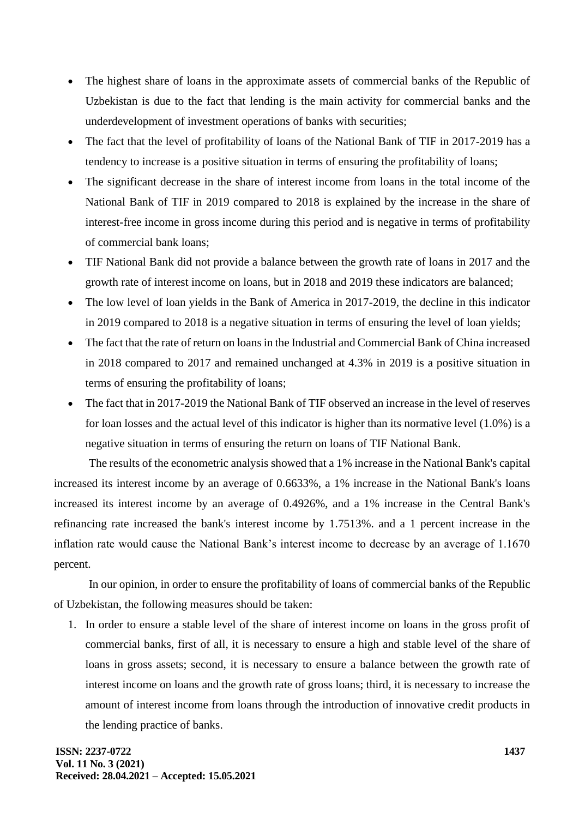- The highest share of loans in the approximate assets of commercial banks of the Republic of Uzbekistan is due to the fact that lending is the main activity for commercial banks and the underdevelopment of investment operations of banks with securities;
- The fact that the level of profitability of loans of the National Bank of TIF in 2017-2019 has a tendency to increase is a positive situation in terms of ensuring the profitability of loans;
- The significant decrease in the share of interest income from loans in the total income of the National Bank of TIF in 2019 compared to 2018 is explained by the increase in the share of interest-free income in gross income during this period and is negative in terms of profitability of commercial bank loans;
- TIF National Bank did not provide a balance between the growth rate of loans in 2017 and the growth rate of interest income on loans, but in 2018 and 2019 these indicators are balanced;
- The low level of loan yields in the Bank of America in 2017-2019, the decline in this indicator in 2019 compared to 2018 is a negative situation in terms of ensuring the level of loan yields;
- The fact that the rate of return on loans in the Industrial and Commercial Bank of China increased in 2018 compared to 2017 and remained unchanged at 4.3% in 2019 is a positive situation in terms of ensuring the profitability of loans;
- The fact that in 2017-2019 the National Bank of TIF observed an increase in the level of reserves for loan losses and the actual level of this indicator is higher than its normative level (1.0%) is a negative situation in terms of ensuring the return on loans of TIF National Bank.

The results of the econometric analysis showed that a 1% increase in the National Bank's capital increased its interest income by an average of 0.6633%, a 1% increase in the National Bank's loans increased its interest income by an average of 0.4926%, and a 1% increase in the Central Bank's refinancing rate increased the bank's interest income by 1.7513%. and a 1 percent increase in the inflation rate would cause the National Bank's interest income to decrease by an average of 1.1670 percent.

In our opinion, in order to ensure the profitability of loans of commercial banks of the Republic of Uzbekistan, the following measures should be taken:

1. In order to ensure a stable level of the share of interest income on loans in the gross profit of commercial banks, first of all, it is necessary to ensure a high and stable level of the share of loans in gross assets; second, it is necessary to ensure a balance between the growth rate of interest income on loans and the growth rate of gross loans; third, it is necessary to increase the amount of interest income from loans through the introduction of innovative credit products in the lending practice of banks.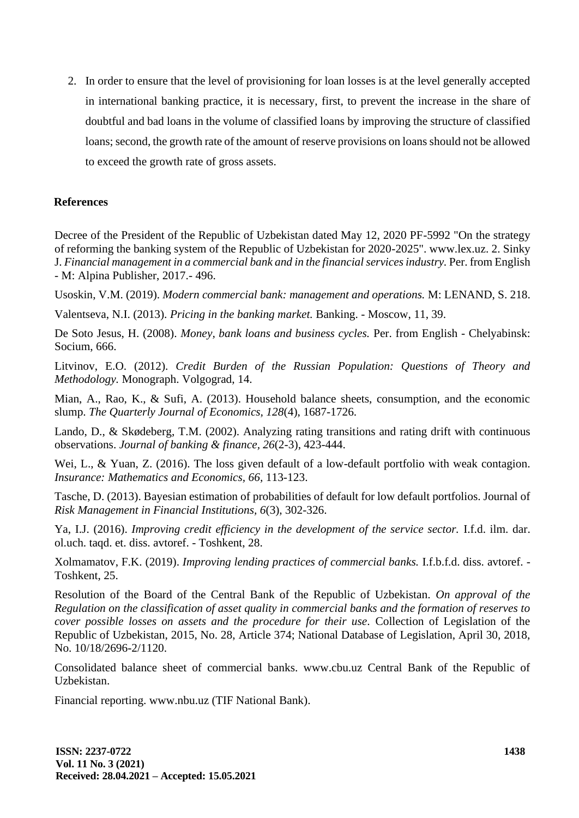2. In order to ensure that the level of provisioning for loan losses is at the level generally accepted in international banking practice, it is necessary, first, to prevent the increase in the share of doubtful and bad loans in the volume of classified loans by improving the structure of classified loans; second, the growth rate of the amount of reserve provisions on loans should not be allowed to exceed the growth rate of gross assets.

## **References**

Decree of the President of the Republic of Uzbekistan dated May 12, 2020 PF-5992 "On the strategy of reforming the banking system of the Republic of Uzbekistan for 2020-2025". www.lex.uz. 2. Sinky J. *Financial management in a commercial bank and in the financial services industry.* Per. from English - M: Alpina Publisher, 2017.- 496.

Usoskin, V.M. (2019). *Modern commercial bank: management and operations.* M: LENAND, S. 218.

Valentseva, N.I. (2013). *Pricing in the banking market.* Banking. - Moscow, 11, 39.

De Soto Jesus, H. (2008). *Money, bank loans and business cycles.* Per. from English - Chelyabinsk: Socium, 666.

Litvinov, E.O. (2012). *Credit Burden of the Russian Population: Questions of Theory and Methodology.* Monograph. Volgograd, 14.

Mian, A., Rao, K., & Sufi, A. (2013). Household balance sheets, consumption, and the economic slump. *The Quarterly Journal of Economics, 128*(4), 1687-1726.

Lando, D., & Skødeberg, T.M. (2002). Analyzing rating transitions and rating drift with continuous observations. *Journal of banking & finance, 26*(2-3), 423-444.

Wei, L., & Yuan, Z. (2016). The loss given default of a low-default portfolio with weak contagion. *Insurance: Mathematics and Economics, 66,* 113-123.

Tasche, D. (2013). Bayesian estimation of probabilities of default for low default portfolios. Journal of *Risk Management in Financial Institutions, 6*(3), 302-326.

Ya, I.J. (2016). *Improving credit efficiency in the development of the service sector.* I.f.d. ilm. dar. ol.uch. taqd. et. diss. avtoref. - Toshkent, 28.

Xolmamatov, F.K. (2019). *Improving lending practices of commercial banks.* I.f.b.f.d. diss. avtoref. - Toshkent, 25.

Resolution of the Board of the Central Bank of the Republic of Uzbekistan. *On approval of the Regulation on the classification of asset quality in commercial banks and the formation of reserves to cover possible losses on assets and the procedure for their use.* Collection of Legislation of the Republic of Uzbekistan, 2015, No. 28, Article 374; National Database of Legislation, April 30, 2018, No. 10/18/2696-2/1120.

Consolidated balance sheet of commercial banks. www.cbu.uz Central Bank of the Republic of Uzbekistan.

Financial reporting. www.nbu.uz (TIF National Bank).